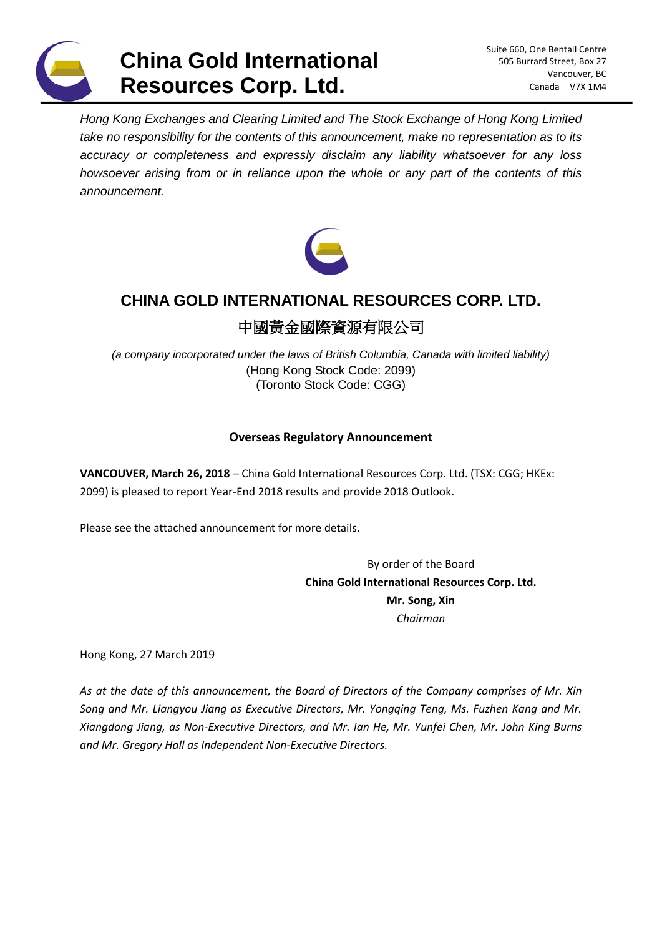

*Hong Kong Exchanges and Clearing Limited and The Stock Exchange of Hong Kong Limited take no responsibility for the contents of this announcement, make no representation as to its accuracy or completeness and expressly disclaim any liability whatsoever for any loss howsoever arising from or in reliance upon the whole or any part of the contents of this announcement.*



## **CHINA GOLD INTERNATIONAL RESOURCES CORP. LTD.**

# 中國黃金國際資源有限公司

*(a company incorporated under the laws of British Columbia, Canada with limited liability)* (Hong Kong Stock Code: 2099) (Toronto Stock Code: CGG)

### **Overseas Regulatory Announcement**

**VANCOUVER, March 26, 2018** – China Gold International Resources Corp. Ltd. (TSX: CGG; HKEx: 2099) is pleased to report Year-End 2018 results and provide 2018 Outlook.

Please see the attached announcement for more details.

By order of the Board **China Gold International Resources Corp. Ltd. Mr. Song, Xin** *Chairman*

Hong Kong, 27 March 2019

*As at the date of this announcement, the Board of Directors of the Company comprises of Mr. Xin Song and Mr. Liangyou Jiang as Executive Directors, Mr. Yongqing Teng, Ms. Fuzhen Kang and Mr. Xiangdong Jiang, as Non‐Executive Directors, and Mr. Ian He, Mr. Yunfei Chen, Mr. John King Burns and Mr. Gregory Hall as Independent Non‐Executive Directors.*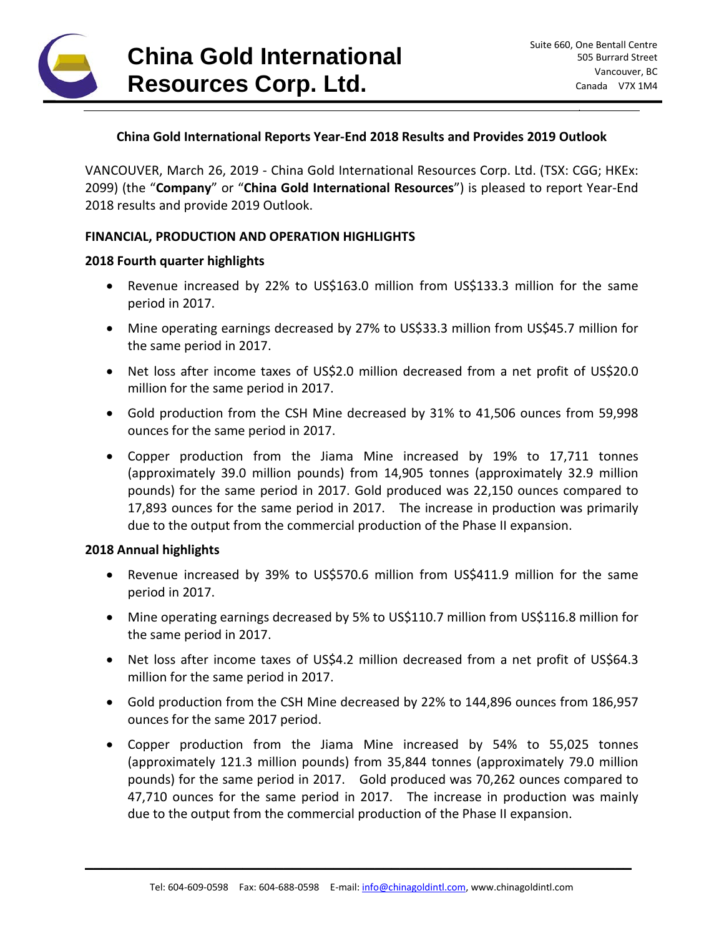

#### **China Gold International Reports Year-End 2018 Results and Provides 2019 Outlook**

VANCOUVER, March 26, 2019 - China Gold International Resources Corp. Ltd. (TSX: CGG; HKEx: 2099) (the "**Company**" or "**China Gold International Resources**") is pleased to report Year-End 2018 results and provide 2019 Outlook.

#### **FINANCIAL, PRODUCTION AND OPERATION HIGHLIGHTS**

#### **2018 Fourth quarter highlights**

- Revenue increased by 22% to US\$163.0 million from US\$133.3 million for the same period in 2017.
- Mine operating earnings decreased by 27% to US\$33.3 million from US\$45.7 million for the same period in 2017.
- Net loss after income taxes of US\$2.0 million decreased from a net profit of US\$20.0 million for the same period in 2017.
- Gold production from the CSH Mine decreased by 31% to 41,506 ounces from 59,998 ounces for the same period in 2017.
- Copper production from the Jiama Mine increased by 19% to 17,711 tonnes (approximately 39.0 million pounds) from 14,905 tonnes (approximately 32.9 million pounds) for the same period in 2017. Gold produced was 22,150 ounces compared to 17,893 ounces for the same period in 2017. The increase in production was primarily due to the output from the commercial production of the Phase II expansion.

#### **2018 Annual highlights**

- Revenue increased by 39% to US\$570.6 million from US\$411.9 million for the same period in 2017.
- Mine operating earnings decreased by 5% to US\$110.7 million from US\$116.8 million for the same period in 2017.
- Net loss after income taxes of US\$4.2 million decreased from a net profit of US\$64.3 million for the same period in 2017.
- Gold production from the CSH Mine decreased by 22% to 144,896 ounces from 186,957 ounces for the same 2017 period.
- Copper production from the Jiama Mine increased by 54% to 55,025 tonnes (approximately 121.3 million pounds) from 35,844 tonnes (approximately 79.0 million pounds) for the same period in 2017. Gold produced was 70,262 ounces compared to 47,710 ounces for the same period in 2017. The increase in production was mainly due to the output from the commercial production of the Phase II expansion.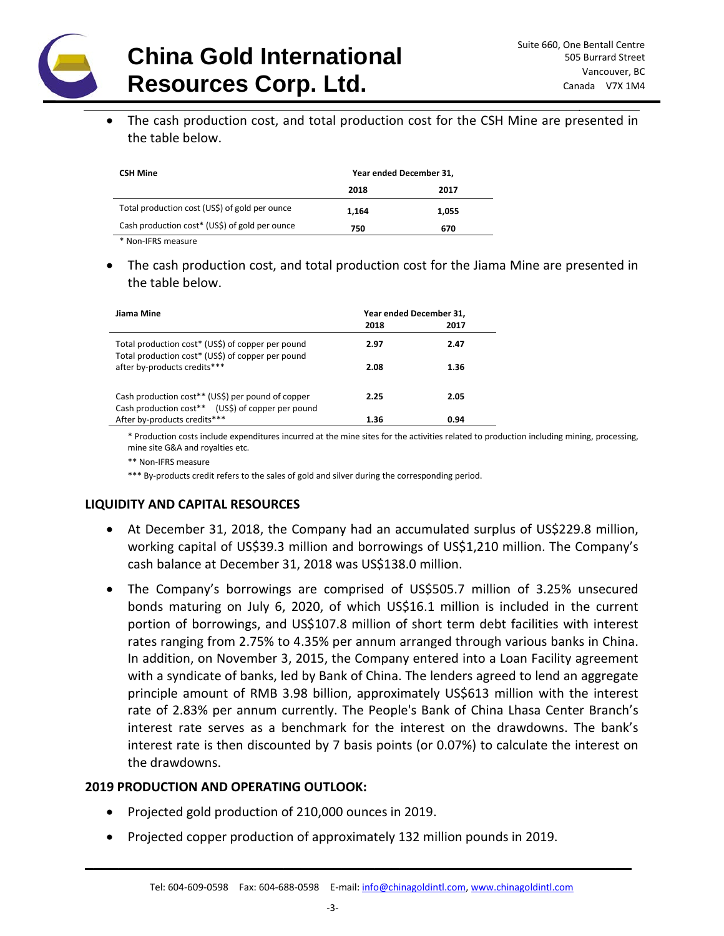

• The cash production cost, and total production cost for the CSH Mine are presented in the table below.

| <b>CSH Mine</b>                                | Year ended December 31, |       |
|------------------------------------------------|-------------------------|-------|
|                                                | 2018                    | 2017  |
| Total production cost (US\$) of gold per ounce | 1.164                   | 1,055 |
| Cash production cost* (US\$) of gold per ounce | 750                     | 670   |

\* Non-IFRS measure

• The cash production cost, and total production cost for the Jiama Mine are presented in the table below.

| Jiama Mine                                                                                             | Year ended December 31, |      |
|--------------------------------------------------------------------------------------------------------|-------------------------|------|
|                                                                                                        | 2018                    | 2017 |
| Total production cost* (US\$) of copper per pound<br>Total production cost* (US\$) of copper per pound | 2.97                    | 2.47 |
| after by-products credits***                                                                           | 2.08                    | 1.36 |
| Cash production cost** (US\$) per pound of copper<br>Cash production cost** (US\$) of copper per pound | 2.25                    | 2.05 |
| After by-products credits***                                                                           | 1.36                    | 0.94 |

\* Production costs include expenditures incurred at the mine sites for the activities related to production including mining, processing, mine site G&A and royalties etc.

\*\* Non-IFRS measure

\*\*\* By-products credit refers to the sales of gold and silver during the corresponding period.

#### **LIQUIDITY AND CAPITAL RESOURCES**

- At December 31, 2018, the Company had an accumulated surplus of US\$229.8 million, working capital of US\$39.3 million and borrowings of US\$1,210 million. The Company's cash balance at December 31, 2018 was US\$138.0 million.
- The Company's borrowings are comprised of US\$505.7 million of 3.25% unsecured bonds maturing on July 6, 2020, of which US\$16.1 million is included in the current portion of borrowings, and US\$107.8 million of short term debt facilities with interest rates ranging from 2.75% to 4.35% per annum arranged through various banks in China. In addition, on November 3, 2015, the Company entered into a Loan Facility agreement with a syndicate of banks, led by Bank of China. The lenders agreed to lend an aggregate principle amount of RMB 3.98 billion, approximately US\$613 million with the interest rate of 2.83% per annum currently. The People's Bank of China Lhasa Center Branch's interest rate serves as a benchmark for the interest on the drawdowns. The bank's interest rate is then discounted by 7 basis points (or 0.07%) to calculate the interest on the drawdowns.

#### **2019 PRODUCTION AND OPERATING OUTLOOK:**

- Projected gold production of 210,000 ounces in 2019.
- Projected copper production of approximately 132 million pounds in 2019.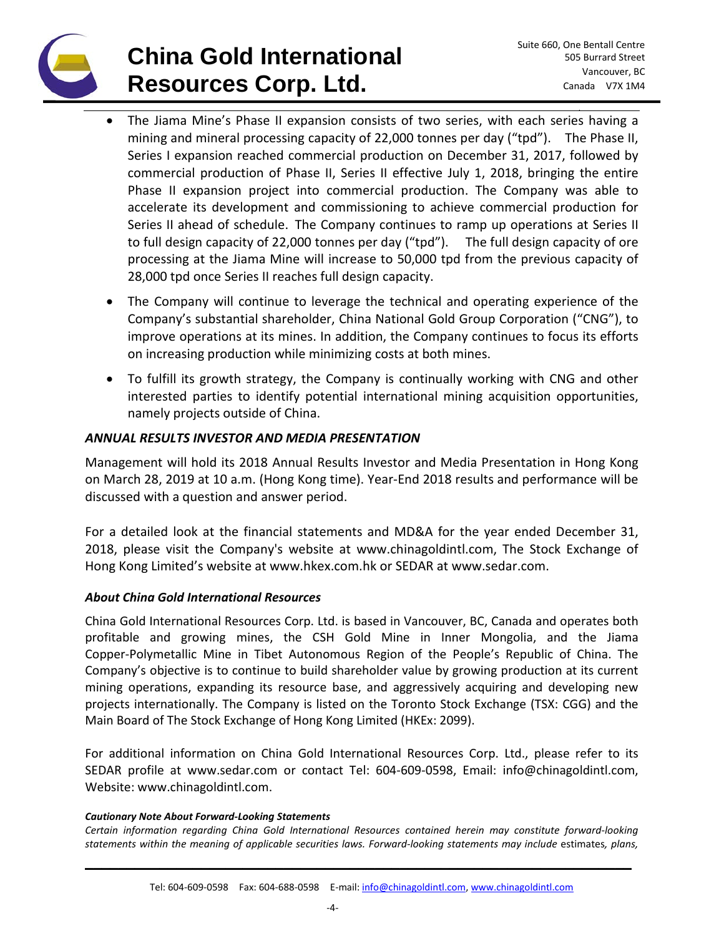

# **China Gold International Resources Corp. Ltd.**

- The Jiama Mine's Phase II expansion consists of two series, with each series having a mining and mineral processing capacity of 22,000 tonnes per day ("tpd"). The Phase II, Series I expansion reached commercial production on December 31, 2017, followed by commercial production of Phase II, Series II effective July 1, 2018, bringing the entire Phase II expansion project into commercial production. The Company was able to accelerate its development and commissioning to achieve commercial production for Series II ahead of schedule. The Company continues to ramp up operations at Series II to full design capacity of 22,000 tonnes per day ("tpd"). The full design capacity of ore processing at the Jiama Mine will increase to 50,000 tpd from the previous capacity of 28,000 tpd once Series II reaches full design capacity.
- The Company will continue to leverage the technical and operating experience of the Company's substantial shareholder, China National Gold Group Corporation ("CNG"), to improve operations at its mines. In addition, the Company continues to focus its efforts on increasing production while minimizing costs at both mines.
- To fulfill its growth strategy, the Company is continually working with CNG and other interested parties to identify potential international mining acquisition opportunities, namely projects outside of China.

## *ANNUAL RESULTS INVESTOR AND MEDIA PRESENTATION*

Management will hold its 2018 Annual Results Investor and Media Presentation in Hong Kong on March 28, 2019 at 10 a.m. (Hong Kong time). Year-End 2018 results and performance will be discussed with a question and answer period.

For a detailed look at the financial statements and MD&A for the year ended December 31, 2018, please visit the Company's website at [www.chinagoldintl.com,](http://www.chinagoldintl.com/) The Stock Exchange of Hong Kong Limited's website at www.hkex.com.hk or SEDAR at [www.sedar.com.](http://www.sedar.com/)

### *About China Gold International Resources*

China Gold International Resources Corp. Ltd. is based in Vancouver, BC, Canada and operates both profitable and growing mines, the CSH Gold Mine in Inner Mongolia, and the Jiama Copper-Polymetallic Mine in Tibet Autonomous Region of the People's Republic of China. The Company's objective is to continue to build shareholder value by growing production at its current mining operations, expanding its resource base, and aggressively acquiring and developing new projects internationally. The Company is listed on the Toronto Stock Exchange (TSX: CGG) and the Main Board of The Stock Exchange of Hong Kong Limited (HKEx: 2099).

For additional information on China Gold International Resources Corp. Ltd., please refer to its SEDAR profile at www.sedar.com or contact Tel: 604-609-0598, Email: info@chinagoldintl.com, Website: www.chinagoldintl.com.

#### *Cautionary Note About Forward-Looking Statements*

*Certain information regarding China Gold International Resources contained herein may constitute forward-looking statements within the meaning of applicable securities laws. Forward-looking statements may include* estimates*, plans,*